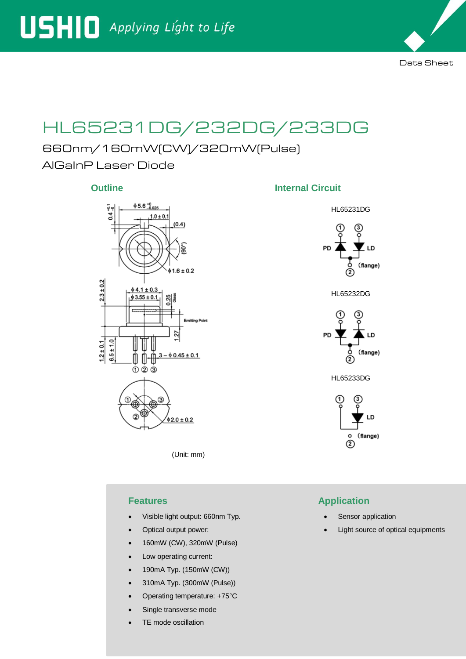

# HL65231DG/232DG/233DG

# 660nm/160mW(CW)/320mW(Pulse)

AlGaInP Laser Diode



(Unit: mm)

- Visible light output: 660nm Typ.
- Optical output power:
- 160mW (CW), 320mW (Pulse)
- Low operating current:
- 190mA Typ. (150mW (CW))
- 310mA Typ. (300mW (Pulse))
- Operating temperature: +75°C
- Single transverse mode
- TE mode oscillation

### **Outline Internal Circuit**



# **Features Application**

- Sensor application
- Light source of optical equipments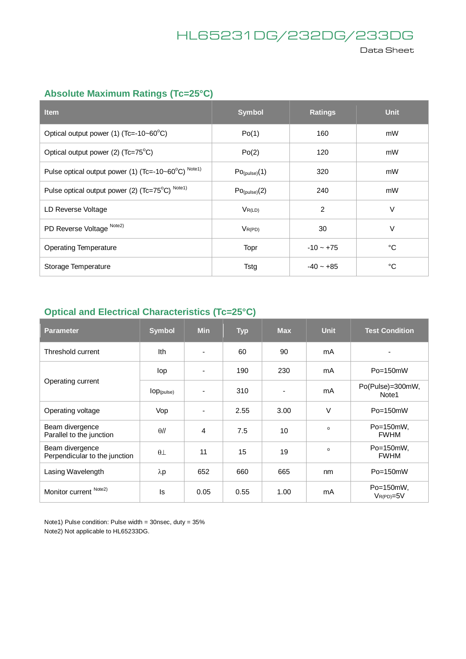# HL65231DG/232DG/233DG

Data Sheet

# **Absolute Maximum Ratings (Tc=25°C)**

| <b>Item</b>                                         | <b>Symbol</b>             | <b>Ratings</b> | <b>Unit</b> |
|-----------------------------------------------------|---------------------------|----------------|-------------|
| Optical output power (1) (Tc=-10~60°C)              | Po(1)                     | 160            | mW          |
| Optical output power (2) (Tc=75°C)                  | Po(2)                     | 120            | mW          |
| Pulse optical output power (1) (Tc=-10~60°C) Note1) | $Po_{(pulse)}(1)$         | 320            | mW          |
| Pulse optical output power (2) (Tc=75°C) Note1)     | Po <sub>(pulse)</sub> (2) | 240            | mW          |
| LD Reverse Voltage                                  | $V_{R(LD)}$               | $\overline{2}$ | $\vee$      |
| PD Reverse Voltage Note2)                           | $V_{R(PD)}$               | 30             | $\vee$      |
| <b>Operating Temperature</b>                        | Topr                      | $-10 - +75$    | °C          |
| Storage Temperature                                 | Tstg                      | $-40 - +85$    | °C          |

## **Optical and Electrical Characteristics (Tc=25°C)**

| <b>Parameter</b>                                 | <b>Symbol</b>          | <b>Min</b>               | <b>Typ</b> | <b>Max</b> | <b>Unit</b> | <b>Test Condition</b>       |
|--------------------------------------------------|------------------------|--------------------------|------------|------------|-------------|-----------------------------|
| Threshold current                                | Ith                    | $\overline{\phantom{0}}$ | 60         | 90         | mA          |                             |
| Operating current                                | lop                    | $\overline{\phantom{a}}$ | 190        | 230        | mA          | $Po = 150mW$                |
|                                                  | $lop_{(\text{pulse})}$ | $\overline{\phantom{a}}$ | 310        |            | mA          | Po(Pulse)=300mW,<br>Note1   |
| Operating voltage                                | Vop                    | ٠                        | 2.55       | 3.00       | $\vee$      | Po=150mW                    |
| Beam divergence<br>Parallel to the junction      | $\theta$ //            | 4                        | 7.5        | 10         | $\Omega$    | Po=150mW,<br><b>FWHM</b>    |
| Beam divergence<br>Perpendicular to the junction | $\theta$ $\perp$       | 11                       | 15         | 19         | $\Omega$    | Po=150mW,<br><b>FWHM</b>    |
| Lasing Wavelength                                | $\lambda p$            | 652                      | 660        | 665        | nm          | $Po = 150mW$                |
| Monitor current Note2)                           | ls.                    | 0.05                     | 0.55       | 1.00       | mA          | Po=150mW,<br>$V_{R(PD)=5V}$ |

Note1) Pulse condition: Pulse width = 30nsec, duty = 35% Note2) Not applicable to HL65233DG.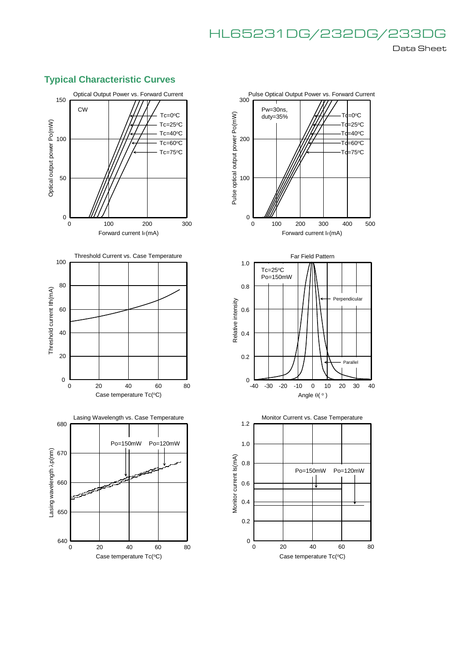# HL65231DG/232DG/233DG Data Sheet

## **Typical Characteristic Curves**



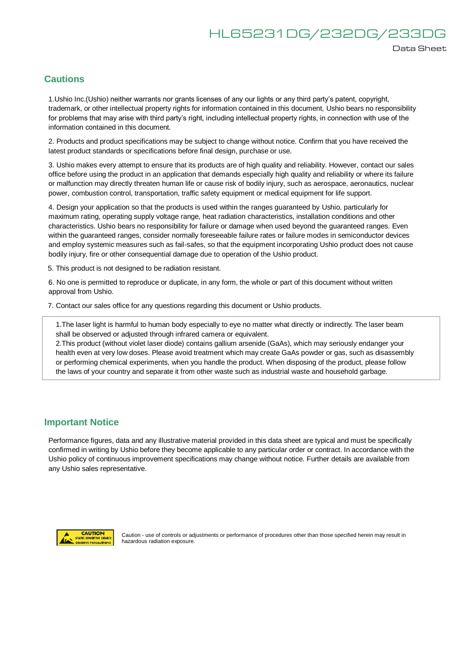#### Data Sheet

#### **Cautions**

1.Ushio Inc.(Ushio) neither warrants nor grants licenses of any our lights or any third party's patent, copyright, trademark, or other intellectual property rights for information contained in this document, Ushio bears no responsibility for problems that may arise with third party's right, including intellectual property rights, in connection with use of the information contained in this document.

2. Products and product specifications may be subject to change without notice. Confirm that you have received the latest product standards or specifications before final design, purchase or use.

3. Ushio makes every attempt to ensure that its products are of high quality and reliability. However, contact our sales office before using the product in an application that demands especially high quality and reliability or where its failure or malfunction may directly threaten human life or cause risk of bodily injury, such as aerospace, aeronautics, nuclear power, combustion control, transportation, traffic safety equipment or medical equipment for life support.

4. Design your application so that the products is used within the ranges guaranteed by Ushio. particularly for maximum rating, operating supply voltage range, heat radiation characteristics, installation conditions and other characteristics. Ushio bears no responsibility for failure or damage when used beyond the guaranteed ranges. Even within the guaranteed ranges, consider normally foreseeable failure rates or failure modes in semiconductor devices and employ systemic measures such as fail-safes, so that the equipment incorporating Ushio product does not cause bodily injury, fire or other consequential damage due to operation of the Ushio product.

5. This product is not designed to be radiation resistant.

6. No one is permitted to reproduce or duplicate, in any form, the whole or part of this document without written approval from Ushio.

7. Contact our sales office for any questions regarding this document or Ushio products.

1.The laser light is harmful to human body especially to eye no matter what directly or indirectly. The laser beam shall be observed or adjusted through infrared camera or equivalent.

2.This product (without violet laser diode) contains gallium arsenide (GaAs), which may seriously endanger your health even at very low doses. Please avoid treatment which may create GaAs powder or gas, such as disassembly or performing chemical experiments, when you handle the product. When disposing of the product, please follow the laws of your country and separate it from other waste such as industrial waste and household garbage.

#### **Important Notice**

Performance figures, data and any illustrative material provided in this data sheet are typical and must be specifically confirmed in writing by Ushio before they become applicable to any particular order or contract. In accordance with the Ushio policy of continuous improvement specifications may change without notice. Further details are available from any Ushio sales representative.



Caution - use of controls or adjustments or performance of procedures other than those specified herein may result in hazardous radiation exposure.